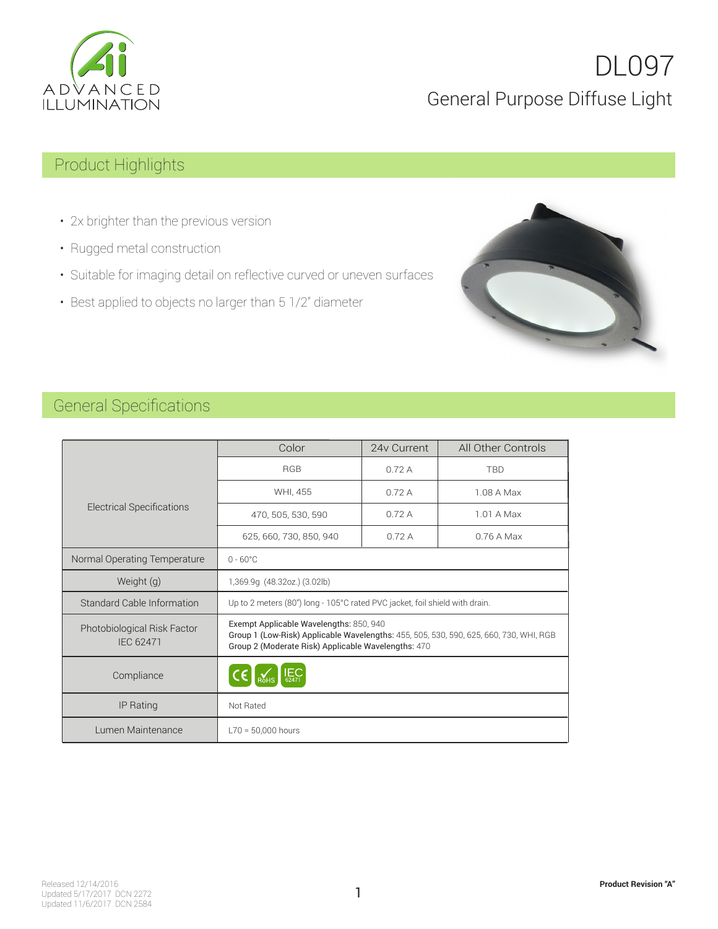

## DL097 General Purpose Diffuse Light

## Product Highlights

- 2x brighter than the previous version
- Rugged metal construction
- Suitable for imaging detail on reflective curved or uneven surfaces
- Best applied to objects no larger than 5 1/2" diameter



### General Specifications

|                                                 | Color                                                                                                                                                                                    | 24y Current | All Other Controls |
|-------------------------------------------------|------------------------------------------------------------------------------------------------------------------------------------------------------------------------------------------|-------------|--------------------|
|                                                 | <b>RGB</b>                                                                                                                                                                               | 0.72A       | <b>TBD</b>         |
|                                                 | WHI, 455                                                                                                                                                                                 | 0.72A       | 1.08 A Max         |
| <b>Electrical Specifications</b>                | 470, 505, 530, 590                                                                                                                                                                       | 0.72A       | 1.01 A Max         |
|                                                 | 625, 660, 730, 850, 940                                                                                                                                                                  | 0.72A       | $0.76A$ Max        |
| Normal Operating Temperature                    | $0 - 60^{\circ}$ C                                                                                                                                                                       |             |                    |
| Weight (g)                                      | 1,369.9q (48.32oz.) (3.02lb)                                                                                                                                                             |             |                    |
| Standard Cable Information                      | Up to 2 meters (80") long - 105°C rated PVC jacket, foil shield with drain.                                                                                                              |             |                    |
| Photobiological Risk Factor<br><b>IEC 62471</b> | Exempt Applicable Wavelengths: 850, 940<br>Group 1 (Low-Risk) Applicable Wavelengths: 455, 505, 530, 590, 625, 660, 730, WHI, RGB<br>Group 2 (Moderate Risk) Applicable Wavelengths: 470 |             |                    |
| Compliance                                      | E <sub>62471</sub>                                                                                                                                                                       |             |                    |
| IP Rating                                       | Not Rated                                                                                                                                                                                |             |                    |
| Lumen Maintenance                               | $L70 = 50.000$ hours                                                                                                                                                                     |             |                    |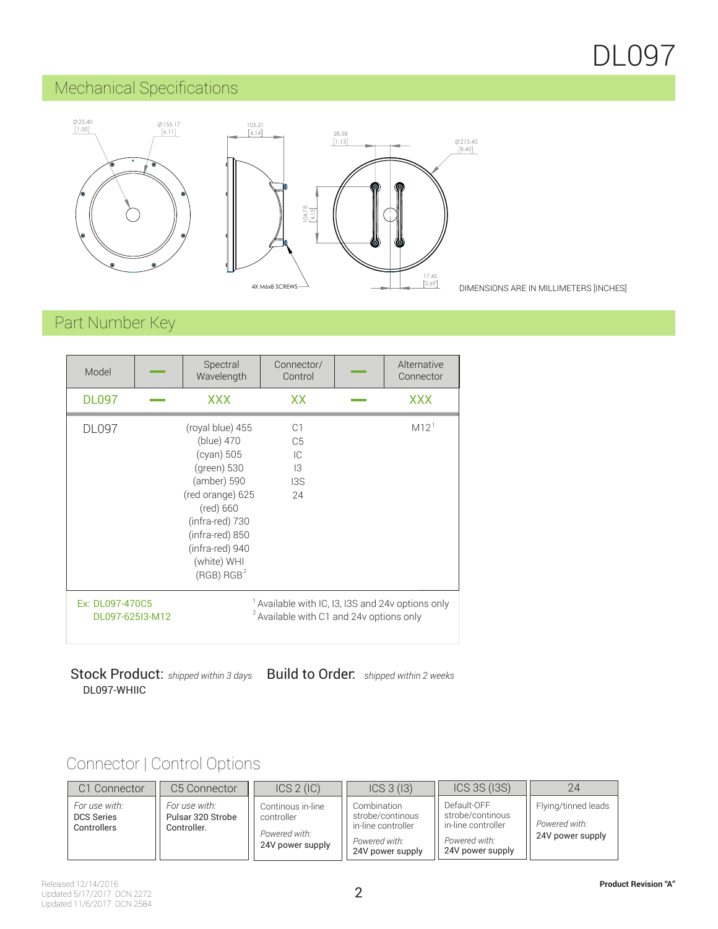## DL097

## Mechanical Specifications



DIMENSIONS ARE IN MILLIMETERS [INCHES]

## Part Number Key

| Model                              | Spectral<br>Wavelength                                                                                                                                                                                        | Connector/<br>Control                                                                     | Alternative<br>Connector |
|------------------------------------|---------------------------------------------------------------------------------------------------------------------------------------------------------------------------------------------------------------|-------------------------------------------------------------------------------------------|--------------------------|
| <b>DL097</b>                       | <b>XXX</b>                                                                                                                                                                                                    | XX                                                                                        | <b>XXX</b>               |
| <b>DL097</b>                       | (royal blue) 455<br>(blue) 470<br>(cyan) 505<br>(green) 530<br>(amber) 590<br>(red orange) 625<br>(red) 660<br>(infra-red) 730<br>(infra-red) 850<br>(infra-red) 940<br>(white) WHI<br>(RGB) RGB <sup>2</sup> | C1<br>C <sub>5</sub><br>IC<br>13<br>13S<br>24                                             | M12                      |
| Ex: DL097-470C5<br>DL097-625I3-M12 |                                                                                                                                                                                                               | Available with IC, I3, I3S and 24v options only<br>Available with C1 and 24v options only |                          |

Build to Order: *shipped within 2 weeks* DL097-WHIIC Stock Product: *shipped within 3 days*

## Connector | Control Options

| C <sub>1</sub> Connector                          | C5 Connector                                      | ICS 2 (IC)                                                           | ICS 3 (13)                                                                                 | ICS 3S (I3S)                                                                               | 24                                                       |
|---------------------------------------------------|---------------------------------------------------|----------------------------------------------------------------------|--------------------------------------------------------------------------------------------|--------------------------------------------------------------------------------------------|----------------------------------------------------------|
| For use with:<br><b>DCS Series</b><br>Controllers | For use with:<br>Pulsar 320 Strobe<br>Controller. | Continous in-line<br>controller<br>Powered with:<br>24V power supply | Combination<br>strobe/continous<br>in-line controller<br>Powered with:<br>24V power supply | Default-OFF<br>strobe/continous<br>in-line controller<br>Powered with:<br>24V power supply | Flying/tinned leads<br>Powered with:<br>24V power supply |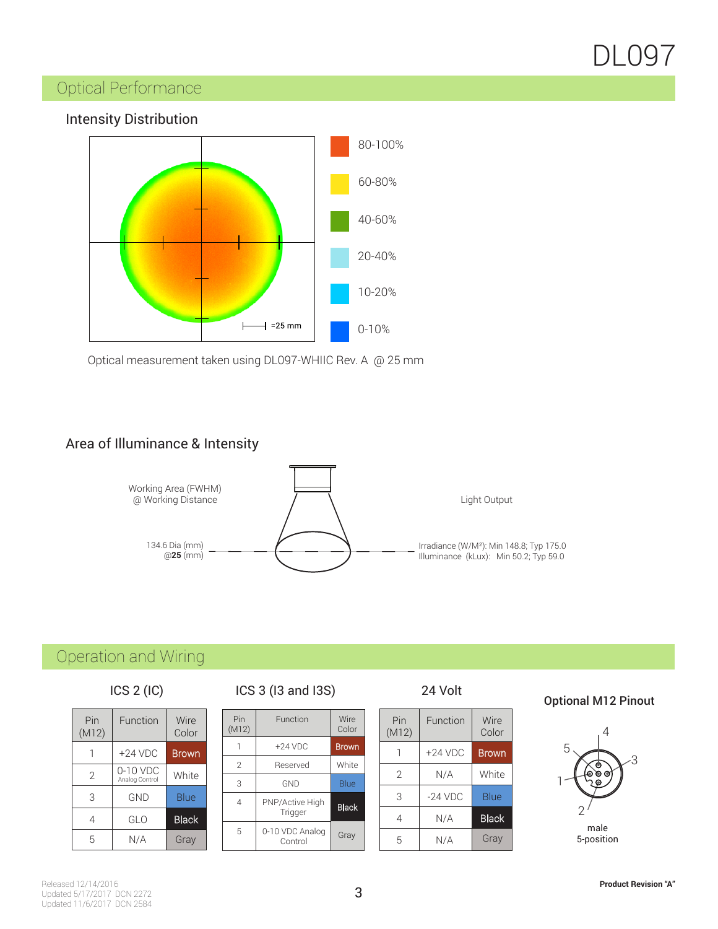# DL097

## Optical Performance



Optical measurement taken using DL097-WHIIC Rev. A @ 25 mm

#### Area of Illuminance & Intensity



## Operation and Wiring

#### ICS 2 (IC)

| Pin<br>(M12)   | Function                   | Wire<br>Color |
|----------------|----------------------------|---------------|
|                | $+24$ VDC                  | Brown         |
| $\overline{2}$ | 0-10 VDC<br>Analog Control | White         |
| 3              | <b>GND</b>                 | Blue          |
| 4              | GLO                        | <b>Black</b>  |
| 5              | N/A                        | Gray          |

#### ICS 2 (IC) ICS 3 (I3 and I3S) 24 Volt

| Pin<br>(M12) | Function                   | Wire<br>Color |
|--------------|----------------------------|---------------|
|              | $+24$ VDC                  | <b>Brown</b>  |
| 2            | Reserved                   | White         |
| 3            | GND                        | Blue          |
| 4            | PNP/Active High<br>Trigger | <b>Black</b>  |
| 5            | 0-10 VDC Analog<br>Control | Gray          |

#### 24 Volt

| Pin<br>(M12) | Function  | Wire<br>Color |
|--------------|-----------|---------------|
| 1            | $+24$ VDC | Brown         |
| 2            | N/A       | White         |
| 3            | $-24$ VDC | Blue          |
| 4            | N/A       | <b>Black</b>  |
| 5            | N/A       | Gray          |

#### Optional M12 Pinout